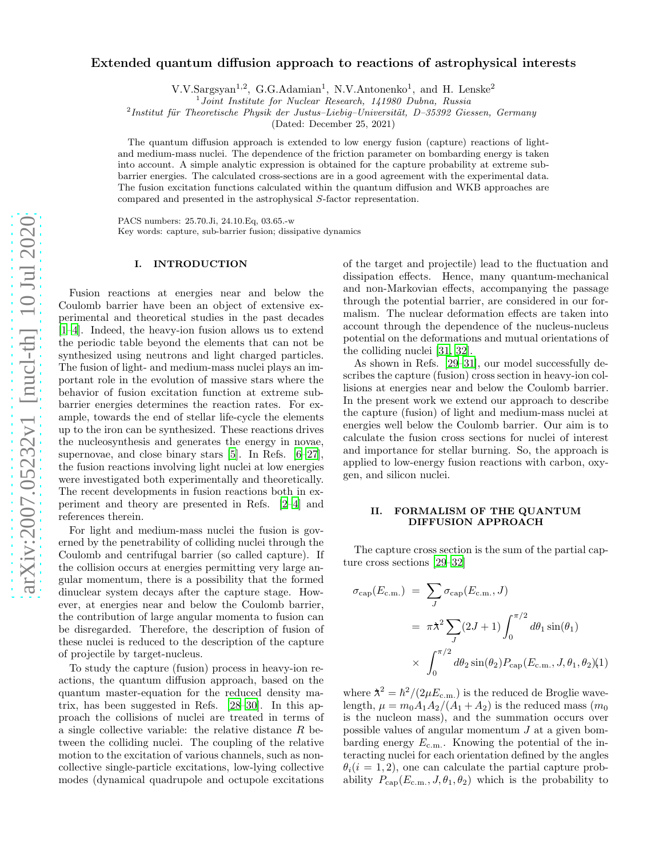# Extended quantum diffusion approach to reactions of astrophysical interests

V.V.Sargsyan<sup>1,2</sup>, G.G.Adamian<sup>1</sup>, N.V.Antonenko<sup>1</sup>, and H. Lenske<sup>2</sup>

1 Joint Institute for Nuclear Research, 141980 Dubna, Russia

 $2$ Institut für Theoretische Physik der Justus–Liebig–Universität, D–35392 Giessen, Germany

(Dated: December 25, 2021)

The quantum diffusion approach is extended to low energy fusion (capture) reactions of lightand medium-mass nuclei. The dependence of the friction parameter on bombarding energy is taken into account. A simple analytic expression is obtained for the capture probability at extreme subbarrier energies. The calculated cross-sections are in a good agreement with the experimental data. The fusion excitation functions calculated within the quantum diffusion and WKB approaches are compared and presented in the astrophysical S-factor representation.

PACS numbers: 25.70.Ji, 24.10.Eq, 03.65.-w Key words: capture, sub-barrier fusion; dissipative dynamics

### I. INTRODUCTION

Fusion reactions at energies near and below the Coulomb barrier have been an object of extensive experimental and theoretical studies in the past decades [\[1](#page-7-0)[–4\]](#page-8-0). Indeed, the heavy-ion fusion allows us to extend the periodic table beyond the elements that can not be synthesized using neutrons and light charged particles. The fusion of light- and medium-mass nuclei plays an important role in the evolution of massive stars where the behavior of fusion excitation function at extreme subbarrier energies determines the reaction rates. For example, towards the end of stellar life-cycle the elements up to the iron can be synthesized. These reactions drives the nucleosynthesis and generates the energy in novae, supernovae, and close binary stars [\[5\]](#page-8-1). In Refs. [\[6](#page-8-2)[–27\]](#page-8-3), the fusion reactions involving light nuclei at low energies were investigated both experimentally and theoretically. The recent developments in fusion reactions both in experiment and theory are presented in Refs. [\[2](#page-8-4)[–4\]](#page-8-0) and references therein.

For light and medium-mass nuclei the fusion is governed by the penetrability of colliding nuclei through the Coulomb and centrifugal barrier (so called capture). If the collision occurs at energies permitting very large angular momentum, there is a possibility that the formed dinuclear system decays after the capture stage. However, at energies near and below the Coulomb barrier, the contribution of large angular momenta to fusion can be disregarded. Therefore, the description of fusion of these nuclei is reduced to the description of the capture of projectile by target-nucleus.

To study the capture (fusion) process in heavy-ion reactions, the quantum diffusion approach, based on the quantum master-equation for the reduced density matrix, has been suggested in Refs. [\[28](#page-8-5)[–30](#page-8-6)]. In this approach the collisions of nuclei are treated in terms of a single collective variable: the relative distance R between the colliding nuclei. The coupling of the relative motion to the excitation of various channels, such as noncollective single-particle excitations, low-lying collective modes (dynamical quadrupole and octupole excitations

of the target and projectile) lead to the fluctuation and dissipation effects. Hence, many quantum-mechanical and non-Markovian effects, accompanying the passage through the potential barrier, are considered in our formalism. The nuclear deformation effects are taken into account through the dependence of the nucleus-nucleus potential on the deformations and mutual orientations of the colliding nuclei [\[31](#page-8-7), [32](#page-8-8)].

As shown in Refs. [\[29–](#page-8-9)[31\]](#page-8-7), our model successfully describes the capture (fusion) cross section in heavy-ion collisions at energies near and below the Coulomb barrier. In the present work we extend our approach to describe the capture (fusion) of light and medium-mass nuclei at energies well below the Coulomb barrier. Our aim is to calculate the fusion cross sections for nuclei of interest and importance for stellar burning. So, the approach is applied to low-energy fusion reactions with carbon, oxygen, and silicon nuclei.

# II. FORMALISM OF THE QUANTUM DIFFUSION APPROACH

The capture cross section is the sum of the partial capture cross sections [\[29](#page-8-9)[–32\]](#page-8-8)

<span id="page-0-0"></span>
$$
\sigma_{\text{cap}}(E_{\text{c.m.}}) = \sum_{J} \sigma_{\text{cap}}(E_{\text{c.m.}}, J)
$$
  
=  $\pi \lambda^2 \sum_{J} (2J + 1) \int_0^{\pi/2} d\theta_1 \sin(\theta_1)$   
 $\times \int_0^{\pi/2} d\theta_2 \sin(\theta_2) P_{\text{cap}}(E_{\text{c.m.}}, J, \theta_1, \theta_2)(1)$ 

where  $\lambda^2 = \hbar^2/(2\mu E_{\text{c.m.}})$  is the reduced de Broglie wavelength,  $\mu = m_0 A_1 A_2/(A_1 + A_2)$  is the reduced mass  $(m_0$ is the nucleon mass), and the summation occurs over possible values of angular momentum J at a given bombarding energy  $E_{\text{c.m.}}$ . Knowing the potential of the interacting nuclei for each orientation defined by the angles  $\theta_i(i = 1, 2)$ , one can calculate the partial capture probability  $P_{\text{cap}}(E_{\text{c.m.}}, J, \theta_1, \theta_2)$  which is the probability to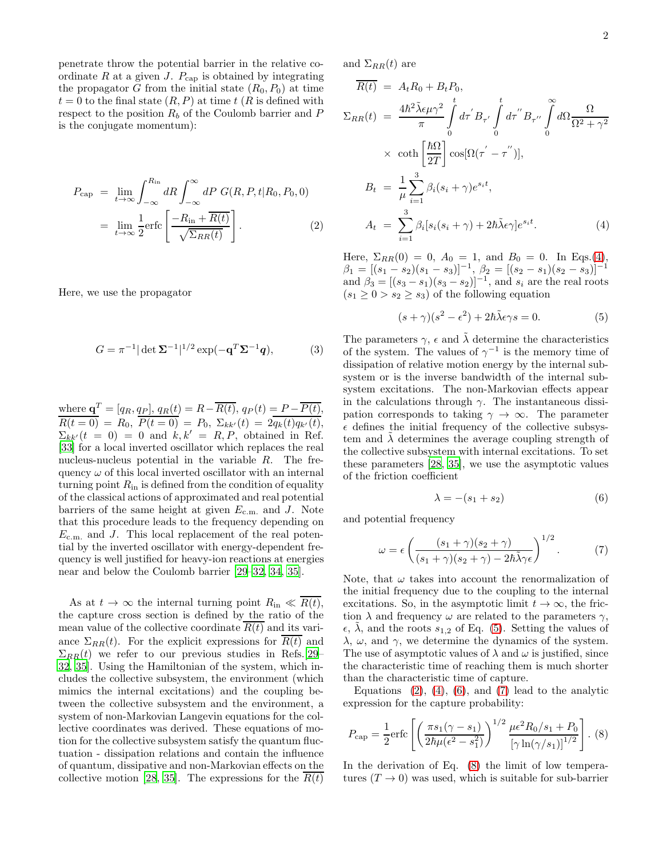penetrate throw the potential barrier in the relative coordinate R at a given J.  $P_{\text{cap}}$  is obtained by integrating the propagator G from the initial state  $(R_0, P_0)$  at time  $t = 0$  to the final state  $(R, P)$  at time t  $(R$  is defined with respect to the position  $R_b$  of the Coulomb barrier and P is the conjugate momentum):

<span id="page-1-2"></span>
$$
P_{\text{cap}} = \lim_{t \to \infty} \int_{-\infty}^{R_{\text{in}}} dR \int_{-\infty}^{\infty} dP \ G(R, P, t | R_0, P_0, 0)
$$

$$
= \lim_{t \to \infty} \frac{1}{2} \text{erfc} \left[ \frac{-R_{\text{in}} + \overline{R(t)}}{\sqrt{\Sigma_{RR}(t)}} \right]. \tag{2}
$$

Here, we use the propagator

$$
G = \pi^{-1} |\det \Sigma^{-1}|^{1/2} \exp(-\mathbf{q}^T \Sigma^{-1} \mathbf{q}), \tag{3}
$$

where  $\mathbf{q}^T = [q_R, q_P], q_R(t) = R - \overline{R(t)}, q_P(t) = P - \overline{P(t)},$  $R(t=0) = R_0, P(t=0) = P_0, \ \Sigma_{kk'}(t) = 2q_k(t)q_{k'}(t),$  $\Sigma_{kk'}(t = 0) = 0$  and  $k, k' = R, P$ , obtained in Ref. [\[33\]](#page-8-10) for a local inverted oscillator which replaces the real nucleus-nucleus potential in the variable R. The frequency  $\omega$  of this local inverted oscillator with an internal turning point  $R_{\text{in}}$  is defined from the condition of equality of the classical actions of approximated and real potential barriers of the same height at given  $E_{\text{c.m.}}$  and J. Note that this procedure leads to the frequency depending on  $E_{\rm c.m.}$  and J. This local replacement of the real potential by the inverted oscillator with energy-dependent frequency is well justified for heavy-ion reactions at energies near and below the Coulomb barrier [\[29](#page-8-9)[–32,](#page-8-8) [34,](#page-8-11) [35\]](#page-8-12).

As at  $t \to \infty$  the internal turning point  $R_{\text{in}} \ll R(t)$ , the capture cross section is defined by the ratio of the mean value of the collective coordinate  $\overline{R(t)}$  and its variance  $\Sigma_{RR}(t)$ . For the explicit expressions for  $R(t)$  and  $\Sigma_{RR}(t)$  we refer to our previous studies in Refs.[\[29](#page-8-9)– [32,](#page-8-8) [35](#page-8-12)]. Using the Hamiltonian of the system, which includes the collective subsystem, the environment (which mimics the internal excitations) and the coupling between the collective subsystem and the environment, a system of non-Markovian Langevin equations for the collective coordinates was derived. These equations of motion for the collective subsystem satisfy the quantum fluctuation - dissipation relations and contain the influence of quantum, dissipative and non-Markovian effects on the collective motion [\[28,](#page-8-5) [35\]](#page-8-12). The expressions for the  $R(t)$ 

and  $\Sigma_{RR}(t)$  are

<span id="page-1-0"></span>
$$
R(t) = A_t R_0 + B_t P_0,
$$
  
\n
$$
\Sigma_{RR}(t) = \frac{4\hbar^2 \tilde{\lambda} \epsilon \mu \gamma^2}{\pi} \int_0^t d\tau' B_{\tau'} \int_0^t d\tau'' B_{\tau''} \int_0^\infty d\Omega \frac{\Omega}{\Omega^2 + \gamma^2}
$$
  
\n
$$
\times \coth\left[\frac{\hbar \Omega}{2T}\right] \cos[\Omega(\tau' - \tau'')],
$$
  
\n
$$
B_t = \frac{1}{\mu} \sum_{i=1}^3 \beta_i (s_i + \gamma) e^{s_i t},
$$
  
\n
$$
A_t = \sum_{i=1}^3 \beta_i [s_i (s_i + \gamma) + 2\hbar \tilde{\lambda} \epsilon \gamma] e^{s_i t}.
$$
\n(4)

Here,  $\Sigma_{RR}(0) = 0$ ,  $A_0 = 1$ , and  $B_0 = 0$ . In Eqs.[\(4\)](#page-1-0),  $\beta_1 = [(\overbrace{s_1-s_2}) (\overline{s_1}-\overline{s_3})]^{-1}, \ \beta_2 = [(\overline{s_2}-\overline{s_1}) (\overline{s_2}-\overline{s_3})]^{-1}$ and  $\beta_3 = [(s_3 - s_1)(s_3 - s_2)]^{-1}$ , and  $s_i$  are the real roots  $(s_1 \geq 0 > s_2 \geq s_3)$  of the following equation

<span id="page-1-1"></span>
$$
(s+\gamma)(s^2 - \epsilon^2) + 2\hbar\tilde{\lambda}\epsilon\gamma s = 0.
$$
 (5)

The parameters  $\gamma,$   $\epsilon$  and  $\tilde{\lambda}$  determine the characteristics of the system. The values of  $\gamma^{-1}$  is the memory time of dissipation of relative motion energy by the internal subsystem or is the inverse bandwidth of the internal subsystem excitations. The non-Markovian effects appear in the calculations through  $\gamma$ . The instantaneous dissipation corresponds to taking  $\gamma \to \infty$ . The parameter  $\epsilon$  defines the initial frequency of the collective subsystem and  $\lambda$  determines the average coupling strength of the collective subsystem with internal excitations. To set these parameters [\[28,](#page-8-5) [35](#page-8-12)], we use the asymptotic values of the friction coefficient

<span id="page-1-3"></span>
$$
\lambda = -(s_1 + s_2) \tag{6}
$$

and potential frequency

<span id="page-1-4"></span>
$$
\omega = \epsilon \left( \frac{(s_1 + \gamma)(s_2 + \gamma)}{(s_1 + \gamma)(s_2 + \gamma) - 2\hbar \tilde{\lambda} \gamma \epsilon} \right)^{1/2}.
$$
 (7)

Note, that  $\omega$  takes into account the renormalization of the initial frequency due to the coupling to the internal excitations. So, in the asymptotic limit  $t \to \infty$ , the friction  $\lambda$  and frequency  $\omega$  are related to the parameters  $\gamma$ ,  $\epsilon$ ,  $\lambda$ , and the roots  $s_{1,2}$  of Eq. [\(5\)](#page-1-1). Setting the values of  $\lambda$ ,  $\omega$ , and  $\gamma$ , we determine the dynamics of the system. The use of asymptotic values of  $\lambda$  and  $\omega$  is justified, since the characteristic time of reaching them is much shorter than the characteristic time of capture.

Equations  $(2)$ ,  $(4)$ ,  $(6)$ , and  $(7)$  lead to the analytic expression for the capture probability:

<span id="page-1-5"></span>
$$
P_{\rm cap} = \frac{1}{2} \text{erfc}\left[ \left( \frac{\pi s_1(\gamma - s_1)}{2\hbar \mu(\epsilon^2 - s_1^2)} \right)^{1/2} \frac{\mu \epsilon^2 R_0/s_1 + P_0}{\left[ \gamma \ln(\gamma/s_1) \right]^{1/2}} \right].
$$
 (8)

In the derivation of Eq. [\(8\)](#page-1-5) the limit of low temperatures  $(T \to 0)$  was used, which is suitable for sub-barrier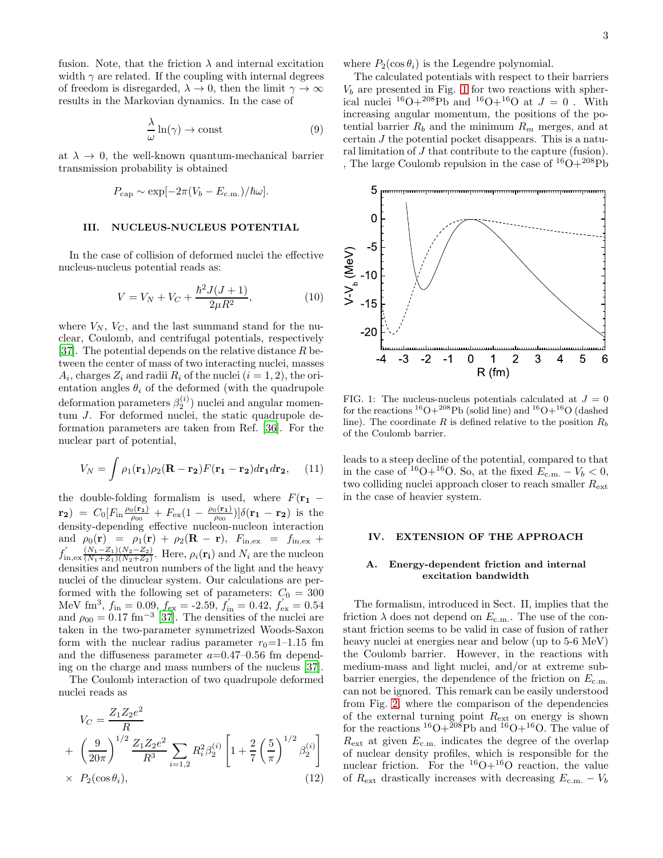fusion. Note, that the friction  $\lambda$  and internal excitation width  $\gamma$  are related. If the coupling with internal degrees of freedom is disregarded,  $\lambda \to 0$ , then the limit  $\gamma \to \infty$ results in the Markovian dynamics. In the case of

<span id="page-2-1"></span>
$$
\frac{\lambda}{\omega}\ln(\gamma) \to \text{const}
$$
 (9)

at  $\lambda \to 0$ , the well-known quantum-mechanical barrier transmission probability is obtained

$$
P_{\rm cap} \sim \exp[-2\pi (V_b - E_{\rm c.m.})/\hbar\omega].
$$

# III. NUCLEUS-NUCLEUS POTENTIAL

In the case of collision of deformed nuclei the effective nucleus-nucleus potential reads as:

<span id="page-2-2"></span>
$$
V = V_N + V_C + \frac{\hbar^2 J(J+1)}{2\mu R^2},\tag{10}
$$

where  $V_N$ ,  $V_C$ , and the last summand stand for the nuclear, Coulomb, and centrifugal potentials, respectively [\[37\]](#page-8-13). The potential depends on the relative distance  $R$  between the center of mass of two interacting nuclei, masses  $A_i$ , charges  $Z_i$  and radii  $R_i$  of the nuclei  $(i = 1, 2)$ , the orientation angles  $\theta_i$  of the deformed (with the quadrupole deformation parameters  $\beta_2^{(i)}$ ) nuclei and angular momentum J. For deformed nuclei, the static quadrupole deformation parameters are taken from Ref. [\[36](#page-8-14)]. For the nuclear part of potential,

$$
V_N = \int \rho_1(\mathbf{r_1}) \rho_2(\mathbf{R} - \mathbf{r_2}) F(\mathbf{r_1} - \mathbf{r_2}) d\mathbf{r_1} d\mathbf{r_2}, \quad (11)
$$

the double-folding formalism is used, where  $F(\mathbf{r_1}$  –  $({\bf r_2}) = C_0[F_{\rm in} \frac{\rho_0({\bf r_1})}{\rho_0 \rho_0}]$  $\frac{\rho_0({\bf r_1})}{\rho_{00}}+F_{\rm ex}(1-\frac{\rho_0({\bf r_1})}{\rho_{00}})$  $\frac{\rho_0(\mathbf{r}_1)}{\rho_{00}}$ ) $\delta(\mathbf{r_1}-\mathbf{r_2})$  is the density-depending effective nucleon-nucleon interaction and  $\rho_0(\mathbf{r}) = \rho_1(\mathbf{r}) + \rho_2(\mathbf{R} - \mathbf{r}), F_{\text{in,ex}} = f_{\text{in,ex}} +$  $f_{\rm i}^{'}$  $\lim_{x \to \infty} \frac{(N_1 - Z_1)(N_2 - Z_2)}{(N_1 + Z_1)(N_2 + Z_2)}$  $\frac{(N_1 - \mathcal{Z}_1)(N_2 - \mathcal{Z}_2)}{(N_1 + \mathcal{Z}_1)(N_2 + \mathcal{Z}_2)}$ . Here,  $\rho_i(\mathbf{r_i})$  and  $N_i$  are the nucleon densities and neutron numbers of the light and the heavy nuclei of the dinuclear system. Our calculations are performed with the following set of parameters:  $C_0 = 300$ MeV fm<sup>3</sup>,  $f_{\text{in}} = 0.09$ ,  $f_{\text{ex}} = -2.59$ ,  $f_{\text{in}}' = 0.42$ ,  $f_{\text{ex}}' = 0.54$ and  $\rho_{00} = 0.17$  fm<sup>-3</sup> [\[37\]](#page-8-13). The densities of the nuclei are taken in the two-parameter symmetrized Woods-Saxon form with the nuclear radius parameter  $r_0$ =1–1.15 fm and the diffuseness parameter  $a=0.47-0.56$  fm depending on the charge and mass numbers of the nucleus [\[37\]](#page-8-13).

The Coulomb interaction of two quadrupole deformed nuclei reads as

<span id="page-2-3"></span>
$$
V_C = \frac{Z_1 Z_2 e^2}{R}
$$
  
+  $\left(\frac{9}{20\pi}\right)^{1/2} \frac{Z_1 Z_2 e^2}{R^3} \sum_{i=1,2} R_i^2 \beta_2^{(i)} \left[1 + \frac{2}{7} \left(\frac{5}{\pi}\right)^{1/2} \beta_2^{(i)}\right]$   
×  $P_2(\cos \theta_i)$ , (12)

where  $P_2(\cos \theta_i)$  is the Legendre polynomial.

The calculated potentials with respect to their barriers  $V<sub>b</sub>$  are presented in Fig. [1](#page-2-0) for two reactions with spherical nuclei  $^{16}O+^{208}Pb$  and  $^{16}O+^{16}O$  at  $J=0$ . With increasing angular momentum, the positions of the potential barrier  $R_b$  and the minimum  $R_m$  merges, and at certain  $J$  the potential pocket disappears. This is a natural limitation of J that contribute to the capture (fusion). , The large Coulomb repulsion in the case of  ${}^{16}O+{}^{208}Pb$ 



<span id="page-2-0"></span>FIG. 1: The nucleus-nucleus potentials calculated at  $J = 0$ for the reactions  ${}^{16}O+{}^{208}Pb$  (solid line) and  ${}^{16}O+{}^{16}O$  (dashed line). The coordinate R is defined relative to the position  $R_b$ of the Coulomb barrier.

leads to a steep decline of the potential, compared to that in the case of <sup>16</sup>O+<sup>16</sup>O. So, at the fixed  $E_{\text{c.m.}} - V_b < 0$ , two colliding nuclei approach closer to reach smaller  $R_{\text{ext}}$ in the case of heavier system.

# IV. EXTENSION OF THE APPROACH

# A. Energy-dependent friction and internal excitation bandwidth

The formalism, introduced in Sect. II, implies that the friction  $\lambda$  does not depend on  $E_{\text{c.m.}}$ . The use of the constant friction seems to be valid in case of fusion of rather heavy nuclei at energies near and below (up to 5-6 MeV) the Coulomb barrier. However, in the reactions with medium-mass and light nuclei, and/or at extreme subbarrier energies, the dependence of the friction on  $E_{\text{c.m.}}$ can not be ignored. This remark can be easily understood from Fig. [2,](#page-3-0) where the comparison of the dependencies of the external turning point  $R_{\text{ext}}$  on energy is shown for the reactions  ${}^{16}O+{}^{208}Pb$  and  ${}^{16}O+{}^{16}O$ . The value of  $R_{\text{ext}}$  at given  $E_{\text{c.m.}}$  indicates the degree of the overlap of nuclear density profiles, which is responsible for the nuclear friction. For the  $16O+16O$  reaction, the value of  $R_{\text{ext}}$  drastically increases with decreasing  $E_{\text{c.m.}} - V_b$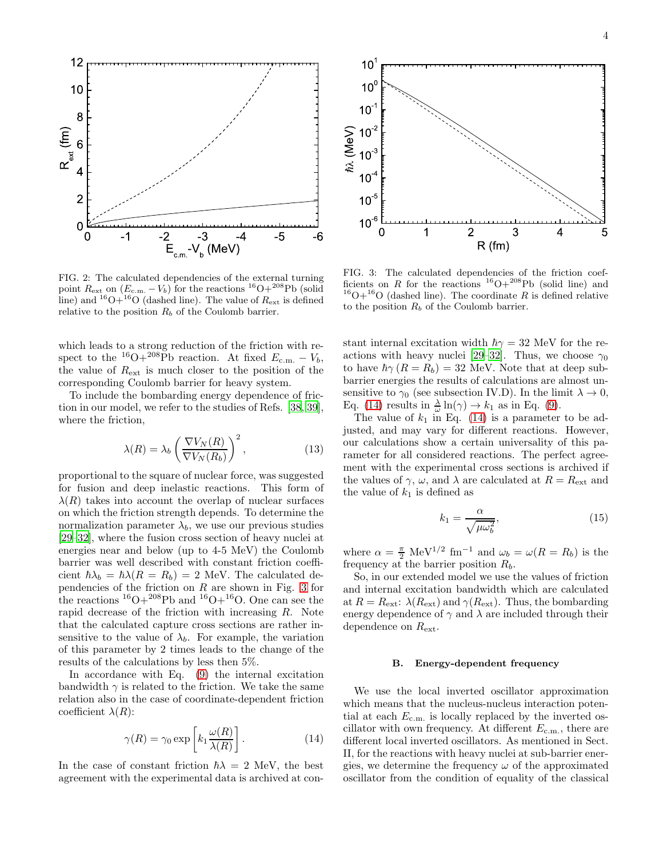

<span id="page-3-0"></span>FIG. 2: The calculated dependencies of the external turning point  $R_{\text{ext}}$  on  $(E_{\text{c.m.}} - V_b)$  for the reactions <sup>16</sup>O+<sup>208</sup>Pb (solid line) and  $^{16}O+^{16}O$  (dashed line). The value of  $R_{ext}$  is defined relative to the position  $R_b$  of the Coulomb barrier.

which leads to a strong reduction of the friction with respect to the <sup>16</sup>O+<sup>208</sup>Pb reaction. At fixed  $E_{\text{c.m.}} - V_b$ , the value of  $R_{\text{ext}}$  is much closer to the position of the corresponding Coulomb barrier for heavy system.

To include the bombarding energy dependence of friction in our model, we refer to the studies of Refs. [\[38](#page-8-15), [39\]](#page-8-16), where the friction,

<span id="page-3-3"></span>
$$
\lambda(R) = \lambda_b \left( \frac{\nabla V_N(R)}{\nabla V_N(R_b)} \right)^2, \tag{13}
$$

proportional to the square of nuclear force, was suggested for fusion and deep inelastic reactions. This form of  $\lambda(R)$  takes into account the overlap of nuclear surfaces on which the friction strength depends. To determine the normalization parameter  $\lambda_b$ , we use our previous studies [\[29](#page-8-9)[–32\]](#page-8-8), where the fusion cross section of heavy nuclei at energies near and below (up to 4-5 MeV) the Coulomb barrier was well described with constant friction coefficient  $\hbar\lambda_b = \hbar\lambda(R = R_b) = 2$  MeV. The calculated dependencies of the friction on  $R$  are shown in Fig. [3](#page-3-1) for the reactions  ${}^{16}O+{}^{208}Pb$  and  ${}^{16}O+{}^{16}O$ . One can see the rapid decrease of the friction with increasing R. Note that the calculated capture cross sections are rather insensitive to the value of  $\lambda_b$ . For example, the variation of this parameter by 2 times leads to the change of the results of the calculations by less then 5%.

In accordance with Eq. [\(9\)](#page-2-1) the internal excitation bandwidth  $\gamma$  is related to the friction. We take the same relation also in the case of coordinate-dependent friction coefficient  $\lambda(R)$ :

<span id="page-3-2"></span>
$$
\gamma(R) = \gamma_0 \exp\left[k_1 \frac{\omega(R)}{\lambda(R)}\right].
$$
 (14)

In the case of constant friction  $\hbar\lambda = 2$  MeV, the best agreement with the experimental data is archived at con-



<span id="page-3-1"></span>FIG. 3: The calculated dependencies of the friction coefficients on R for the reactions  ${}^{16}O+{}^{208}Pb$  (solid line) and <sup>16</sup>O+<sup>16</sup>O (dashed line). The coordinate R is defined relative to the position  $R_b$  of the Coulomb barrier.

stant internal excitation width  $\hbar\gamma = 32$  MeV for the re-actions with heavy nuclei [\[29](#page-8-9)[–32](#page-8-8)]. Thus, we choose  $\gamma_0$ to have  $\hbar \gamma (R = R_b) = 32$  MeV. Note that at deep subbarrier energies the results of calculations are almost unsensitive to  $\gamma_0$  (see subsection IV.D). In the limit  $\lambda \to 0$ , Eq. [\(14\)](#page-3-2) results in  $\frac{\lambda}{\omega} \ln(\gamma) \to k_1$  as in Eq. [\(9\)](#page-2-1).

The value of  $k_1$  in Eq. [\(14\)](#page-3-2) is a parameter to be adjusted, and may vary for different reactions. However, our calculations show a certain universality of this parameter for all considered reactions. The perfect agreement with the experimental cross sections is archived if the values of  $\gamma$ ,  $\omega$ , and  $\lambda$  are calculated at  $R = R_{\text{ext}}$  and the value of  $k_1$  is defined as

<span id="page-3-4"></span>
$$
k_1 = \frac{\alpha}{\sqrt{\mu \omega_b^2}},\tag{15}
$$

where  $\alpha = \frac{\pi}{2}$  MeV<sup>1/2</sup> fm<sup>-1</sup> and  $\omega_b = \omega(R = R_b)$  is the frequency at the barrier position  $R_b$ .

So, in our extended model we use the values of friction and internal excitation bandwidth which are calculated at  $R = R_{\text{ext}}$ :  $\lambda(R_{\text{ext}})$  and  $\gamma(R_{\text{ext}})$ . Thus, the bombarding energy dependence of  $\gamma$  and  $\lambda$  are included through their dependence on  $R_{\text{ext}}$ .

#### B. Energy-dependent frequency

We use the local inverted oscillator approximation which means that the nucleus-nucleus interaction potential at each Ec.m. is locally replaced by the inverted oscillator with own frequency. At different  $E_{\text{c.m.}}$ , there are different local inverted oscillators. As mentioned in Sect. II, for the reactions with heavy nuclei at sub-barrier energies, we determine the frequency  $\omega$  of the approximated oscillator from the condition of equality of the classical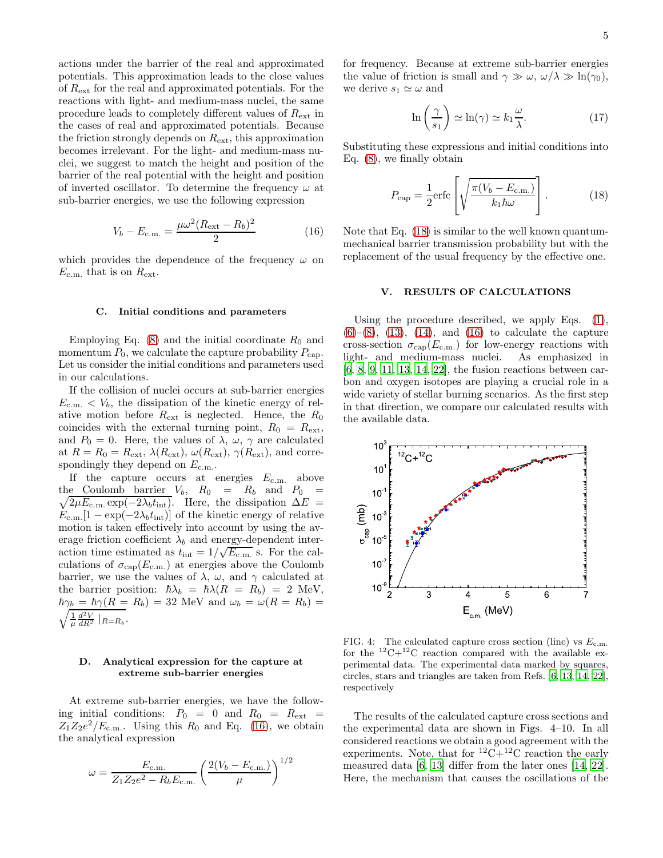actions under the barrier of the real and approximated potentials. This approximation leads to the close values of Rext for the real and approximated potentials. For the reactions with light- and medium-mass nuclei, the same procedure leads to completely different values of Rext in the cases of real and approximated potentials. Because the friction strongly depends on  $R_{\text{ext}}$ , this approximation becomes irrelevant. For the light- and medium-mass nuclei, we suggest to match the height and position of the barrier of the real potential with the height and position of inverted oscillator. To determine the frequency  $\omega$  at sub-barrier energies, we use the following expression

<span id="page-4-0"></span>
$$
V_b - E_{\text{c.m.}} = \frac{\mu \omega^2 (R_{\text{ext}} - R_b)^2}{2} \tag{16}
$$

which provides the dependence of the frequency  $\omega$  on  $E_{\text{c.m.}}$  that is on  $R_{\text{ext}}$ .

#### C. Initial conditions and parameters

Employing Eq.  $(8)$  and the initial coordinate  $R_0$  and momentum  $P_0$ , we calculate the capture probability  $P_{\text{cap}}$ . Let us consider the initial conditions and parameters used in our calculations.

If the collision of nuclei occurs at sub-barrier energies  $E_{\rm c.m.} < V_b$ , the dissipation of the kinetic energy of relative motion before  $R_{\text{ext}}$  is neglected. Hence, the  $R_0$ coincides with the external turning point,  $R_0 = R_{\text{ext}},$ and  $P_0 = 0$ . Here, the values of  $\lambda$ ,  $\omega$ ,  $\gamma$  are calculated at  $R = R_0 = R_{\text{ext}}, \lambda(R_{\text{ext}}), \omega(R_{\text{ext}}), \gamma(R_{\text{ext}})$ , and correspondingly they depend on  $E_{\text{c.m.}}$ .

If the capture occurs at energies  $E_{\text{c.m.}}$  above  $\sqrt{2\mu E_{c.m.} \exp(-2\lambda_b t_{\rm int})}$ . Here, the dissipation  $\Delta E$  = the Coulomb barrier  $V_b$ ,  $R_0 = R_b$  and  $P_0 =$  $E_{\text{c.m.}}[1 - \exp(-2\lambda_b t_{\text{int}})]$  of the kinetic energy of relative motion is taken effectively into account by using the average friction coefficient  $\lambda_b$  and energy-dependent interaction time estimated as  $t_{\text{int}} = 1/\sqrt{E_{\text{c.m.}}}$  s. For the calculations of  $\sigma_{\rm cap}(E_{\rm c.m.})$  at energies above the Coulomb barrier, we use the values of  $\lambda$ ,  $\omega$ , and  $\gamma$  calculated at the barrier position:  $\hbar\lambda_b = \hbar\lambda(R = R_b) = 2$  MeV,  $\hbar\gamma_b = \hbar\gamma(R = R_b) = 32$  MeV and  $\omega_b = \omega(R = R_b) =$  $\sqrt{\frac{1}{\mu} \frac{d^2 V}{dR^2}}$   $|_{R=R_b}$ .

# D. Analytical expression for the capture at extreme sub-barrier energies

At extreme sub-barrier energies, we have the following initial conditions:  $P_0 = 0$  and  $R_0 = R_{ext}$  $Z_1 Z_2 e^2 / E_{\text{c.m.}}$ . Using this  $R_0$  and Eq. [\(16\)](#page-4-0), we obtain the analytical expression

$$
\omega = \frac{E_{\text{c.m.}}}{Z_1 Z_2 e^2 - R_b E_{\text{c.m.}}} \left( \frac{2(V_b - E_{\text{c.m.}})}{\mu} \right)^{1/2}
$$

for frequency. Because at extreme sub-barrier energies the value of friction is small and  $\gamma \gg \omega$ ,  $\omega/\lambda \gg \ln(\gamma_0)$ , we derive  $s_1 \simeq \omega$  and

$$
\ln\left(\frac{\gamma}{s_1}\right) \simeq \ln(\gamma) \simeq k_1 \frac{\omega}{\lambda}.\tag{17}
$$

Substituting these expressions and initial conditions into Eq. [\(8\)](#page-1-5), we finally obtain

<span id="page-4-1"></span>
$$
P_{\rm cap} = \frac{1}{2} \text{erfc}\left[\sqrt{\frac{\pi (V_b - E_{\rm c.m.})}{k_1 \hbar \omega}}\right].
$$
 (18)

Note that Eq. [\(18\)](#page-4-1) is similar to the well known quantummechanical barrier transmission probability but with the replacement of the usual frequency by the effective one.

# V. RESULTS OF CALCULATIONS

Using the procedure described, we apply Eqs. [\(1\)](#page-0-0),  $(6)-(8)$  $(6)-(8)$  $(6)-(8)$ ,  $(13)$ ,  $(14)$ , and  $(16)$  to calculate the capture cross-section  $\sigma_{\rm cap}(E_{\rm c.m.})$  for low-energy reactions with light- and medium-mass nuclei. As emphasized in [\[6,](#page-8-2) [8,](#page-8-17) [9,](#page-8-18) [11,](#page-8-19) [13,](#page-8-20) [14,](#page-8-21) [22](#page-8-22)], the fusion reactions between carbon and oxygen isotopes are playing a crucial role in a wide variety of stellar burning scenarios. As the first step in that direction, we compare our calculated results with the available data.



<span id="page-4-2"></span>FIG. 4: The calculated capture cross section (line) vs  $E_{c.m.}$ for the  $^{12}C+^{12}C$  reaction compared with the available experimental data. The experimental data marked by squares, circles, stars and triangles are taken from Refs. [\[6,](#page-8-2) [13](#page-8-20), [14,](#page-8-21) [22\]](#page-8-22), respectively

The results of the calculated capture cross sections and the experimental data are shown in Figs. 4–10. In all considered reactions we obtain a good agreement with the experiments. Note, that for  ${}^{12}C+{}^{12}C$  reaction the early measured data [\[6](#page-8-2), [13\]](#page-8-20) differ from the later ones [\[14](#page-8-21), [22\]](#page-8-22). Here, the mechanism that causes the oscillations of the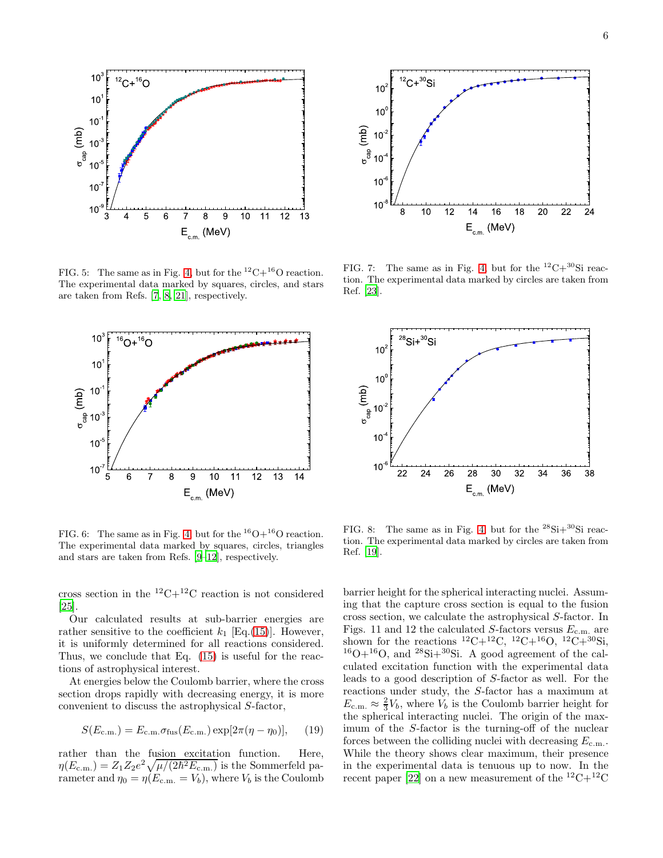

FIG. 5: The same as in Fig. [4,](#page-4-2) but for the  $^{12}C+^{16}O$  reaction. The experimental data marked by squares, circles, and stars are taken from Refs. [\[7](#page-8-23), [8,](#page-8-17) [21](#page-8-24)], respectively.



FIG. 6: The same as in Fig. [4,](#page-4-2) but for the  $^{16}O+^{16}O$  reaction. The experimental data marked by squares, circles, triangles and stars are taken from Refs. [\[9](#page-8-18)[–12](#page-8-25)], respectively.

cross section in the  ${}^{12}C+{}^{12}C$  reaction is not considered [\[25\]](#page-8-26).

Our calculated results at sub-barrier energies are rather sensitive to the coefficient  $k_1$  [Eq.[\(15\)](#page-3-4)]. However, it is uniformly determined for all reactions considered. Thus, we conclude that Eq. [\(15\)](#page-3-4) is useful for the reactions of astrophysical interest.

At energies below the Coulomb barrier, where the cross section drops rapidly with decreasing energy, it is more convenient to discuss the astrophysical S-factor,

$$
S(E_{\text{c.m.}}) = E_{\text{c.m.}} \sigma_{\text{fus}}(E_{\text{c.m.}}) \exp[2\pi(\eta - \eta_0)], \quad (19)
$$

rather than the fusion excitation function. Here,  $\eta(E_{\text{c.m.}}) = Z_1 Z_2 e^2 \sqrt{\mu/(2\hbar^2 E_{\text{c.m.}})}$  is the Sommerfeld parameter and  $\eta_0 = \eta(E_{\text{c.m.}} = V_b)$ , where  $V_b$  is the Coulomb



FIG. 7: The same as in Fig. [4,](#page-4-2) but for the  $^{12}C+^{30}Si$  reaction. The experimental data marked by circles are taken from Ref. [\[23](#page-8-27)].



FIG. 8: The same as in Fig. [4,](#page-4-2) but for the  $^{28}Si+^{30}Si$  reaction. The experimental data marked by circles are taken from Ref. [\[19](#page-8-28)].

barrier height for the spherical interacting nuclei. Assuming that the capture cross section is equal to the fusion cross section, we calculate the astrophysical S-factor. In Figs. 11 and 12 the calculated S-factors versus  $E_{\text{c.m.}}$  are shown for the reactions  ${}^{12}C+{}^{12}C, {}^{12}C+{}^{16}O, {}^{12}C+{}^{30}Si,$  $^{16}O+^{16}O$ , and  $^{28}Si+^{30}Si$ . A good agreement of the calculated excitation function with the experimental data leads to a good description of S-factor as well. For the reactions under study, the S-factor has a maximum at  $E_{\text{c.m.}} \approx \frac{2}{3}V_b$ , where  $V_b$  is the Coulomb barrier height for the spherical interacting nuclei. The origin of the maximum of the S-factor is the turning-off of the nuclear forces between the colliding nuclei with decreasing  $E_{\text{c.m.}}$ . While the theory shows clear maximum, their presence in the experimental data is tenuous up to now. In the recent paper [\[22\]](#page-8-22) on a new measurement of the  ${}^{12}C+{}^{12}C$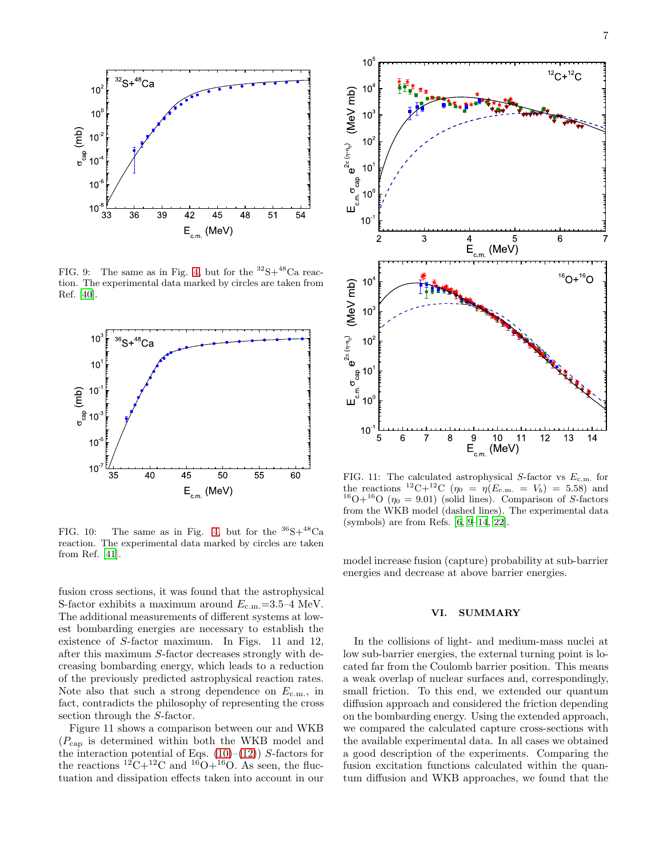

FIG. 9: The same as in Fig. [4,](#page-4-2) but for the  $32S+48Ca$  reaction. The experimental data marked by circles are taken from Ref. [\[40](#page-8-29)].



FIG. 10: The same as in Fig. [4,](#page-4-2) but for the  ${}^{36}S+{}^{48}Ca$ reaction. The experimental data marked by circles are taken from Ref. [\[41\]](#page-8-30).

fusion cross sections, it was found that the astrophysical S-factor exhibits a maximum around  $E_{\text{c.m.}}=3.5-4 \text{ MeV}.$ The additional measurements of different systems at lowest bombarding energies are necessary to establish the existence of S-factor maximum. In Figs. 11 and 12, after this maximum S-factor decreases strongly with decreasing bombarding energy, which leads to a reduction of the previously predicted astrophysical reaction rates. Note also that such a strong dependence on  $E_{\text{c.m.}}$ , in fact, contradicts the philosophy of representing the cross section through the S-factor.

Figure 11 shows a comparison between our and WKB  $(P_{\text{cap}})$  is determined within both the WKB model and the interaction potential of Eqs.  $(10)$ – $(12)$ ) S-factors for the reactions  ${}^{12}C+{}^{12}C$  and  ${}^{16}O+{}^{16}O$ . As seen, the fluctuation and dissipation effects taken into account in our



FIG. 11: The calculated astrophysical S-factor vs  $E_{\text{c.m.}}$  for the reactions <sup>12</sup>C+<sup>12</sup>C ( $\eta_0 = \eta(E_{c.m.} = V_b) = 5.58$ ) and <sup>16</sup>O+<sup>16</sup>O ( $\eta_0$  = 9.01) (solid lines). Comparison of S-factors from the WKB model (dashed lines). The experimental data (symbols) are from Refs. [\[6,](#page-8-2) [9](#page-8-18)[–14,](#page-8-21) [22](#page-8-22)].

model increase fusion (capture) probability at sub-barrier energies and decrease at above barrier energies.

### VI. SUMMARY

In the collisions of light- and medium-mass nuclei at low sub-barrier energies, the external turning point is located far from the Coulomb barrier position. This means a weak overlap of nuclear surfaces and, correspondingly, small friction. To this end, we extended our quantum diffusion approach and considered the friction depending on the bombarding energy. Using the extended approach, we compared the calculated capture cross-sections with the available experimental data. In all cases we obtained a good description of the experiments. Comparing the fusion excitation functions calculated within the quantum diffusion and WKB approaches, we found that the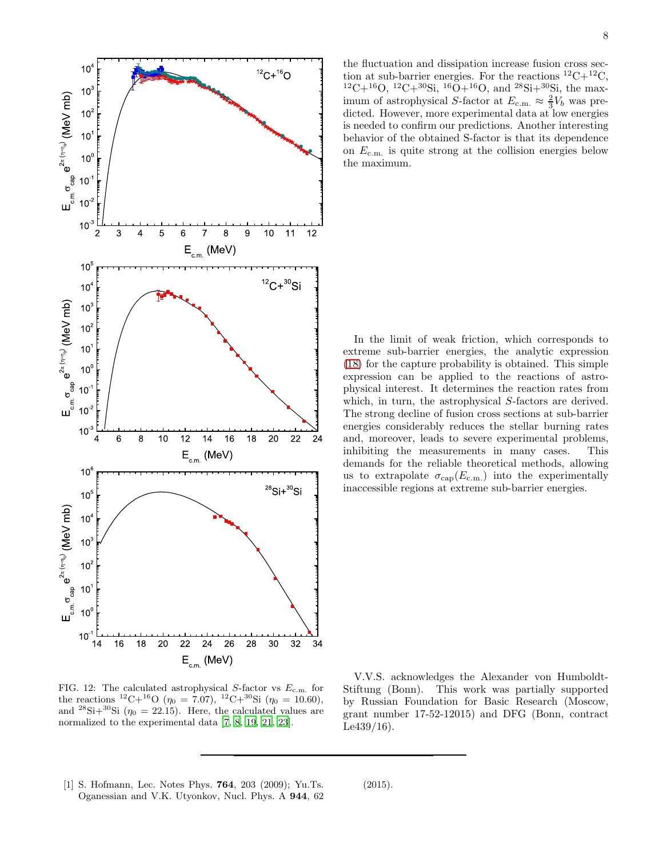

FIG. 12: The calculated astrophysical S-factor vs  $E_{\text{c.m.}}$  for the reactions <sup>12</sup>C+<sup>16</sup>O ( $\eta_0 = 7.07$ ), <sup>12</sup>C+<sup>30</sup>Si ( $\eta_0 = 10.60$ ), and  $^{28}$ Si+ $^{30}$ Si ( $\eta_0 = 22.15$ ). Here, the calculated values are normalized to the experimental data [\[7](#page-8-23), [8,](#page-8-17) [19,](#page-8-28) [21](#page-8-24), [23](#page-8-27)].

the fluctuation and dissipation increase fusion cross section at sub-barrier energies. For the reactions  ${}^{12}C+{}^{12}C$ ,  ${}^{12}C+{}^{16}O, {}^{12}C+{}^{30}Si, {}^{16}O+{}^{16}O,$  and  ${}^{28}Si+{}^{30}Si$ , the maximum of astrophysical S-factor at  $E_{\text{c.m.}} \approx \frac{2}{3}V_b$  was predicted. However, more experimental data at low energies is needed to confirm our predictions. Another interesting behavior of the obtained S-factor is that its dependence on E<sup>c</sup>.m. is quite strong at the collision energies below the maximum.

In the limit of weak friction, which corresponds to extreme sub-barrier energies, the analytic expression [\(18\)](#page-4-1) for the capture probability is obtained. This simple expression can be applied to the reactions of astrophysical interest. It determines the reaction rates from which, in turn, the astrophysical S-factors are derived. The strong decline of fusion cross sections at sub-barrier energies considerably reduces the stellar burning rates and, moreover, leads to severe experimental problems, inhibiting the measurements in many cases. This demands for the reliable theoretical methods, allowing us to extrapolate  $\sigma_{cap}(E_{c.m.})$  into the experimentally inaccessible regions at extreme sub-barrier energies.

V.V.S. acknowledges the Alexander von Humboldt-Stiftung (Bonn). This work was partially supported by Russian Foundation for Basic Research (Moscow, grant number 17-52-12015) and DFG (Bonn, contract Le439/16).

<span id="page-7-0"></span>[1] S. Hofmann, Lec. Notes Phys. 764, 203 (2009); Yu.Ts. Oganessian and V.K. Utyonkov, Nucl. Phys. A 944, 62 (2015).